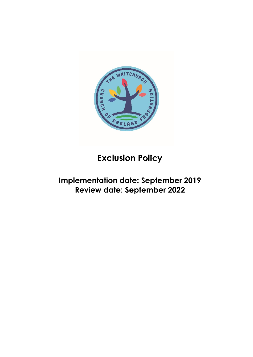

**Exclusion Policy**

**Implementation date: September 2019 Review date: September 2022**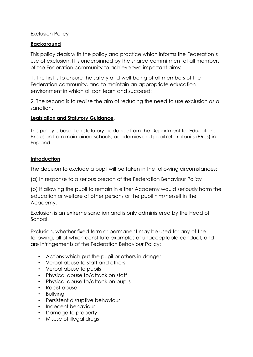### Exclusion Policy

#### **Background**

This policy deals with the policy and practice which informs the Federation's use of exclusion. It is underpinned by the shared commitment of all members of the Federation community to achieve two important aims:

1. The first is to ensure the safety and well-being of all members of the Federation community, and to maintain an appropriate education environment in which all can learn and succeed;

2. The second is to realise the aim of reducing the need to use exclusion as a sanction.

#### **Legislation and Statutory Guidance.**

This policy is based on statutory guidance from the Department for Education: Exclusion from maintained schools, academies and pupil referral units (PRUs) in England.

#### **Introduction**

The decision to exclude a pupil will be taken in the following circumstances:

(a) In response to a serious breach of the Federation Behaviour Policy

(b) If allowing the pupil to remain in either Academy would seriously harm the education or welfare of other persons or the pupil him/herself in the Academy.

Exclusion is an extreme sanction and is only administered by the Head of School.

Exclusion, whether fixed term or permanent may be used for any of the following, all of which constitute examples of unacceptable conduct, and are infringements of the Federation Behaviour Policy:

- Actions which put the pupil or others in danger
- Verbal abuse to staff and others
- Verbal abuse to pupils
- Physical abuse to/attack on staff
- Physical abuse to/attack on pupils
- Racist abuse
- Bullying
- Persistent disruptive behaviour
- Indecent behaviour
- Damage to property
- Misuse of illegal drugs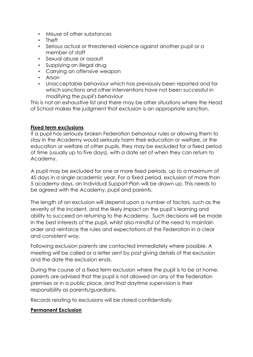- Misuse of other substances
- Theft
- Serious actual or threatened violence against another pupil or a member of staff
- Sexual abuse or assault
- Supplying an illegal drug
- Carrying an offensive weapon
- Arson
- Unacceptable behaviour which has previously been reported and for which sanctions and other interventions have not been successful in modifying the pupil's behaviour

This is not an exhaustive list and there may be other situations where the Head of School makes the judgment that exclusion is an appropriate sanction.

#### **Fixed term exclusions**

If a pupil has seriously broken Federation behaviour rules or allowing them to stay in the Academy would seriously harm their education or welfare, or the education or welfare of other pupils, they may be excluded for a fixed period of time (usually up to five days), with a date set of when they can return to Academy.

A pupil may be excluded for one or more fixed periods, up to a maximum of 45 days in a single academic year. For a fixed period, exclusion of more than 5 academy days, an Individual Support Plan will be drawn up. This needs to be agreed with the Academy, pupil and parents.

The length of an exclusion will depend upon a number of factors, such as the severity of the incident, and the likely impact on the pupil's learning and ability to succeed on returning to the Academy. Such decisions will be made in the best interests of the pupil, whilst also mindful of the need to maintain order and reinforce the rules and expectations of the Federation in a clear and consistent way.

Following exclusion parents are contacted immediately where possible. A meeting will be called or a letter sent by post giving details of the exclusion and the date the exclusion ends.

During the course of a fixed term exclusion where the pupil is to be at home, parents are advised that the pupil is not allowed on any of the Federation premises or in a public place, and that daytime supervision is their responsibility as parents/guardians.

Records relating to exclusions will be stored confidentially.

## **Permanent Exclusion**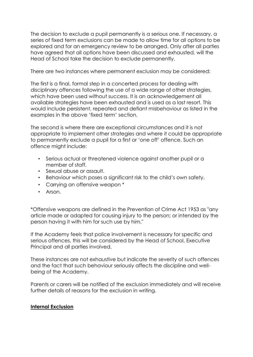The decision to exclude a pupil permanently is a serious one. If necessary, a series of fixed term exclusions can be made to allow time for all options to be explored and for an emergency review to be arranged. Only after all parties have agreed that all options have been discussed and exhausted, will the Head of School take the decision to exclude permanently.

There are two instances where permanent exclusion may be considered:

The first is a final, formal step in a concerted process for dealing with disciplinary offences following the use of a wide range of other strategies, which have been used without success. It is an acknowledgement all available strategies have been exhausted and is used as a last resort. This would include persistent, repeated and defiant misbehaviour as listed in the examples in the above 'fixed term' section.

The second is where there are exceptional circumstances and it is not appropriate to implement other strategies and where it could be appropriate to permanently exclude a pupil for a first or 'one off' offence. Such an offence might include:

- Serious actual or threatened violence against another pupil or a member of staff.
- Sexual abuse or assault.
- Behaviour which poses a significant risk to the child's own safety.
- Carrying an offensive weapon \*
- Arson.

\*Offensive weapons are defined in the Prevention of Crime Act 1953 as "any article made or adapted for causing injury to the person; or intended by the person having it with him for such use by him."

If the Academy feels that police involvement is necessary for specific and serious offences, this will be considered by the Head of School, Executive Principal and all parties involved.

These instances are not exhaustive but indicate the severity of such offences and the fact that such behaviour seriously affects the discipline and wellbeing of the Academy.

Parents or carers will be notified of the exclusion immediately and will receive further details of reasons for the exclusion in writing.

#### **Internal Exclusion**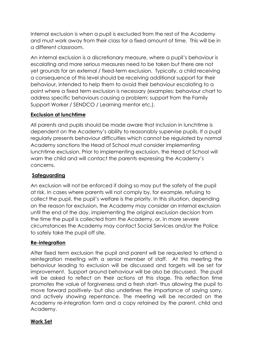Internal exclusion is when a pupil is excluded from the rest of the Academy and must work away from their class for a fixed amount of time. This will be in a different classroom.

An internal exclusion is a discretionary measure, where a pupil's behaviour is escalating and more serious measures need to be taken but there are not yet grounds for an external / fixed-term exclusion. Typically, a child receiving a consequence of this level should be receiving additional support for their behaviour, intended to help them to avoid their behaviour escalating to a point where a fixed term exclusion is necessary (examples: behaviour chart to address specific behaviours causing a problem; support from the Family Support Worker / SENDCO / Learning mentor etc.).

# **Exclusion at lunchtime**

All parents and pupils should be made aware that inclusion in lunchtime is dependent on the Academy's ability to reasonably supervise pupils. If a pupil regularly presents behaviour difficulties which cannot be regulated by normal Academy sanctions the Head of School must consider implementing lunchtime exclusion. Prior to implementing exclusion, the Head of School will warn the child and will contact the parents expressing the Academy's concerns.

## **Safeguarding**

An exclusion will not be enforced if doing so may put the safety of the pupil at risk. In cases where parents will not comply by, for example, refusing to collect the pupil, the pupil's welfare is the priority. In this situation, depending on the reason for exclusion, the Academy may consider an internal exclusion until the end of the day, implementing the original exclusion decision from the time the pupil is collected from the Academy, or, in more severe circumstances the Academy may contact Social Services and/or the Police to safely take the pupil off site.

## **Re-integration**

After fixed term exclusion the pupil and parent will be requested to attend a reintegration meeting with a senior member of staff. At this meeting the behaviour leading to exclusion will be discussed and targets will be set for improvement. Support around behaviour will be also be discussed. The pupil will be asked to reflect on their actions at this stage. This reflection time promotes the value of forgiveness and a fresh start- thus allowing the pupil to move forward positively- but also underlines the importance of saying sorry, and actively showing repentance. The meeting will be recorded on the Academy re-integration form and a copy retained by the parent, child and Academy.

## **Work Set**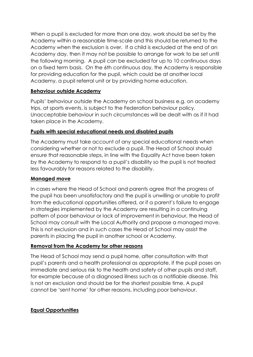When a pupil is excluded for more than one day, work should be set by the Academy within a reasonable time-scale and this should be returned to the Academy when the exclusion is over. If a child is excluded at the end of an Academy day, then it may not be possible to arrange for work to be set until the following morning. A pupil can be excluded for up to 10 continuous days on a fixed term basis. On the 6th continuous day, the Academy is responsible for providing education for the pupil, which could be at another local Academy, a pupil referral unit or by providing home education.

# **Behaviour outside Academy**

Pupils' behaviour outside the Academy on school business e.g. on academy trips, at sports events, is subject to the Federation behaviour policy. Unacceptable behaviour in such circumstances will be dealt with as if it had taken place in the Academy.

# **Pupils with special educational needs and disabled pupils**

The Academy must take account of any special educational needs when considering whether or not to exclude a pupil. The Head of School should ensure that reasonable steps, in line with the Equality Act have been taken by the Academy to respond to a pupil's disability so the pupil is not treated less favourably for reasons related to the disability.

## **Managed move**

In cases where the Head of School and parents agree that the progress of the pupil has been unsatisfactory and the pupil is unwilling or unable to profit from the educational opportunities offered, or if a parent's failure to engage in strategies implemented by the Academy are resulting in a continuing pattern of poor behaviour or lack of improvement in behaviour, the Head of School may consult with the Local Authority and propose a managed move. This is not exclusion and in such cases the Head of School may assist the parents in placing the pupil in another school or Academy.

## **Removal from the Academy for other reasons**

The Head of School may send a pupil home, after consultation with that pupil's parents and a health professional as appropriate, if the pupil poses an immediate and serious risk to the health and safety of other pupils and staff, for example because of a diagnosed illness such as a notifiable disease. This is not an exclusion and should be for the shortest possible time. A pupil cannot be 'sent home' for other reasons, including poor behaviour.

# **Equal Opportunities**